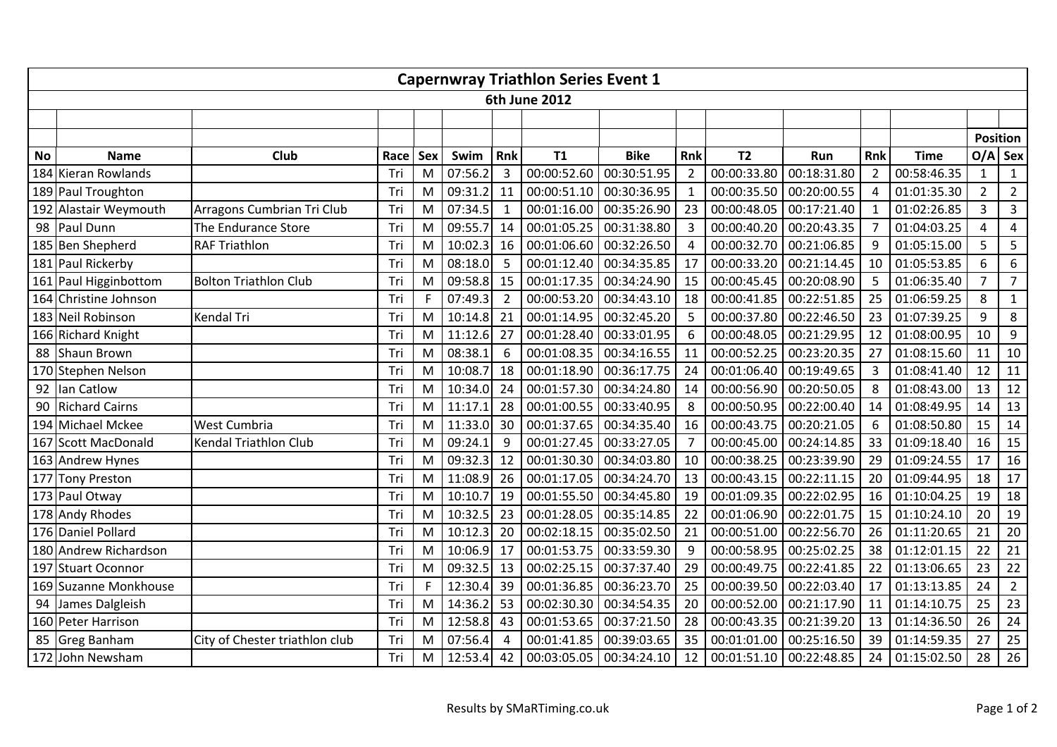| <b>Capernwray Triathlon Series Event 1</b> |                       |                                |      |     |         |                         |             |             |                |                         |             |                |             |                 |                |
|--------------------------------------------|-----------------------|--------------------------------|------|-----|---------|-------------------------|-------------|-------------|----------------|-------------------------|-------------|----------------|-------------|-----------------|----------------|
| 6th June 2012                              |                       |                                |      |     |         |                         |             |             |                |                         |             |                |             |                 |                |
|                                            |                       |                                |      |     |         |                         |             |             |                |                         |             |                |             |                 |                |
|                                            |                       |                                |      |     |         |                         |             |             |                |                         |             |                |             | <b>Position</b> |                |
| <b>No</b>                                  | <b>Name</b>           | Club                           | Race | Sex | Swim    | Rnk                     | T1          | <b>Bike</b> | Rnk            | T <sub>2</sub>          | Run         | Rnk            | <b>Time</b> |                 | $O/A$ Sex      |
|                                            | 184 Kieran Rowlands   |                                | Tri  | M   | 07:56.2 | 3                       | 00:00:52.60 | 00:30:51.95 | $\overline{2}$ | 00:00:33.80             | 00:18:31.80 | $\overline{2}$ | 00:58:46.35 | $\mathbf{1}$    | $\mathbf{1}$   |
|                                            | 189 Paul Troughton    |                                | Tri  | M   | 09:31.2 | 11                      | 00:00:51.10 | 00:30:36.95 | $\mathbf{1}$   | 00:00:35.50             | 00:20:00.55 | $\overline{4}$ | 01:01:35.30 | $\overline{2}$  | $\overline{2}$ |
|                                            | 192 Alastair Weymouth | Arragons Cumbrian Tri Club     | Tri  | M   | 07:34.5 | $\overline{\mathbf{1}}$ | 00:01:16.00 | 00:35:26.90 | 23             | 00:00:48.05             | 00:17:21.40 | $\mathbf{1}$   | 01:02:26.85 | $\overline{3}$  | $\overline{3}$ |
|                                            | 98 Paul Dunn          | The Endurance Store            | Tri  | M   | 09:55.7 | 14                      | 00:01:05.25 | 00:31:38.80 | $\overline{3}$ | 00:00:40.20             | 00:20:43.35 | $\overline{7}$ | 01:04:03.25 | $\overline{4}$  | $\overline{4}$ |
|                                            | 185 Ben Shepherd      | <b>RAF Triathlon</b>           | Tri  | M   | 10:02.3 | 16                      | 00:01:06.60 | 00:32:26.50 | $\overline{4}$ | 00:00:32.70             | 00:21:06.85 | 9              | 01:05:15.00 | 5               | $5\phantom{.}$ |
|                                            | 181 Paul Rickerby     |                                | Tri  | M   | 08:18.0 | 5                       | 00:01:12.40 | 00:34:35.85 | 17             | 00:00:33.20             | 00:21:14.45 | 10             | 01:05:53.85 | 6               | 6              |
|                                            | 161 Paul Higginbottom | <b>Bolton Triathlon Club</b>   | Tri  | M   | 09:58.8 | 15                      | 00:01:17.35 | 00:34:24.90 | 15             | 00:00:45.45             | 00:20:08.90 | 5              | 01:06:35.40 | $\overline{7}$  | $\overline{7}$ |
|                                            | 164 Christine Johnson |                                | Tri  | F   | 07:49.3 | $\overline{2}$          | 00:00:53.20 | 00:34:43.10 | 18             | 00:00:41.85             | 00:22:51.85 | 25             | 01:06:59.25 | 8               | $\mathbf{1}$   |
|                                            | 183 Neil Robinson     | Kendal Tri                     | Tri  | M   | 10:14.8 | 21                      | 00:01:14.95 | 00:32:45.20 | 5              | 00:00:37.80             | 00:22:46.50 | 23             | 01:07:39.25 | 9               | 8              |
|                                            | 166 Richard Knight    |                                | Tri  | M   | 11:12.6 | 27                      | 00:01:28.40 | 00:33:01.95 | 6              | 00:00:48.05             | 00:21:29.95 | 12             | 01:08:00.95 | 10              | 9              |
|                                            | 88 Shaun Brown        |                                | Tri  | M   | 08:38.1 | 6                       | 00:01:08.35 | 00:34:16.55 | 11             | 00:00:52.25             | 00:23:20.35 | 27             | 01:08:15.60 | 11              | 10             |
|                                            | 170 Stephen Nelson    |                                | Tri  | M   | 10:08.7 | 18                      | 00:01:18.90 | 00:36:17.75 | 24             | 00:01:06.40             | 00:19:49.65 | $\overline{3}$ | 01:08:41.40 | 12              | 11             |
|                                            | 92 Ian Catlow         |                                | Tri  | M   | 10:34.0 | 24                      | 00:01:57.30 | 00:34:24.80 | 14             | 00:00:56.90             | 00:20:50.05 | 8              | 01:08:43.00 | 13              | 12             |
|                                            | 90 Richard Cairns     |                                | Tri  | M   | 11:17.1 | 28                      | 00:01:00.55 | 00:33:40.95 | 8              | 00:00:50.95             | 00:22:00.40 | 14             | 01:08:49.95 | 14              | 13             |
|                                            | 194 Michael Mckee     | West Cumbria                   | Tri  | M   | 11:33.0 | 30                      | 00:01:37.65 | 00:34:35.40 | 16             | 00:00:43.75             | 00:20:21.05 | 6              | 01:08:50.80 | 15              | 14             |
|                                            | 167 Scott MacDonald   | Kendal Triathlon Club          | Tri  | M   | 09:24.1 | 9                       | 00:01:27.45 | 00:33:27.05 | 7              | 00:00:45.00             | 00:24:14.85 | 33             | 01:09:18.40 | 16              | 15             |
|                                            | 163 Andrew Hynes      |                                | Tri  | M   | 09:32.3 | 12                      | 00:01:30.30 | 00:34:03.80 | 10             | 00:00:38.25             | 00:23:39.90 | 29             | 01:09:24.55 | 17              | 16             |
|                                            | 177 Tony Preston      |                                | Tri  | M   | 11:08.9 | 26                      | 00:01:17.05 | 00:34:24.70 | 13             | 00:00:43.15             | 00:22:11.15 | 20             | 01:09:44.95 | 18              | 17             |
|                                            | 173 Paul Otway        |                                | Tri  | M   | 10:10.7 | 19                      | 00:01:55.50 | 00:34:45.80 | 19             | 00:01:09.35             | 00:22:02.95 | 16             | 01:10:04.25 | 19              | 18             |
|                                            | 178 Andy Rhodes       |                                | Tri  | M   | 10:32.5 | 23                      | 00:01:28.05 | 00:35:14.85 | 22             | 00:01:06.90             | 00:22:01.75 | 15             | 01:10:24.10 | 20              | 19             |
|                                            | 176 Daniel Pollard    |                                | Tri  | M   | 10:12.3 | 20                      | 00:02:18.15 | 00:35:02.50 | 21             | 00:00:51.00             | 00:22:56.70 | 26             | 01:11:20.65 | 21              | 20             |
|                                            | 180 Andrew Richardson |                                | Tri  | M   | 10:06.9 | 17                      | 00:01:53.75 | 00:33:59.30 | 9              | 00:00:58.95             | 00:25:02.25 | 38             | 01:12:01.15 | 22              | 21             |
|                                            | 197 Stuart Oconnor    |                                | Tri  | M   | 09:32.5 | 13                      | 00:02:25.15 | 00:37:37.40 | 29             | 00:00:49.75             | 00:22:41.85 | 22             | 01:13:06.65 | 23              | 22             |
|                                            | 169 Suzanne Monkhouse |                                | Tri  | F   | 12:30.4 | 39                      | 00:01:36.85 | 00:36:23.70 | 25             | 00:00:39.50             | 00:22:03.40 | 17             | 01:13:13.85 | 24              | $\overline{2}$ |
|                                            | 94 James Dalgleish    |                                | Tri  | M   | 14:36.2 | 53                      | 00:02:30.30 | 00:34:54.35 | 20             | 00:00:52.00             | 00:21:17.90 | 11             | 01:14:10.75 | 25              | 23             |
|                                            | 160 Peter Harrison    |                                | Tri  | M   | 12:58.8 | 43                      | 00:01:53.65 | 00:37:21.50 | 28             | 00:00:43.35             | 00:21:39.20 | 13             | 01:14:36.50 | 26              | 24             |
|                                            | 85 Greg Banham        | City of Chester triathlon club | Tri  | M   | 07:56.4 | $\overline{4}$          | 00:01:41.85 | 00:39:03.65 | 35             | 00:01:01.00             | 00:25:16.50 | 39             | 01:14:59.35 | 27              | 25             |
|                                            | 172 John Newsham      |                                | Tri  | M   | 12:53.4 | 42                      | 00:03:05.05 | 00:34:24.10 | 12             | 00:01:51.10 00:22:48.85 |             | 24             | 01:15:02.50 | 28              | 26             |